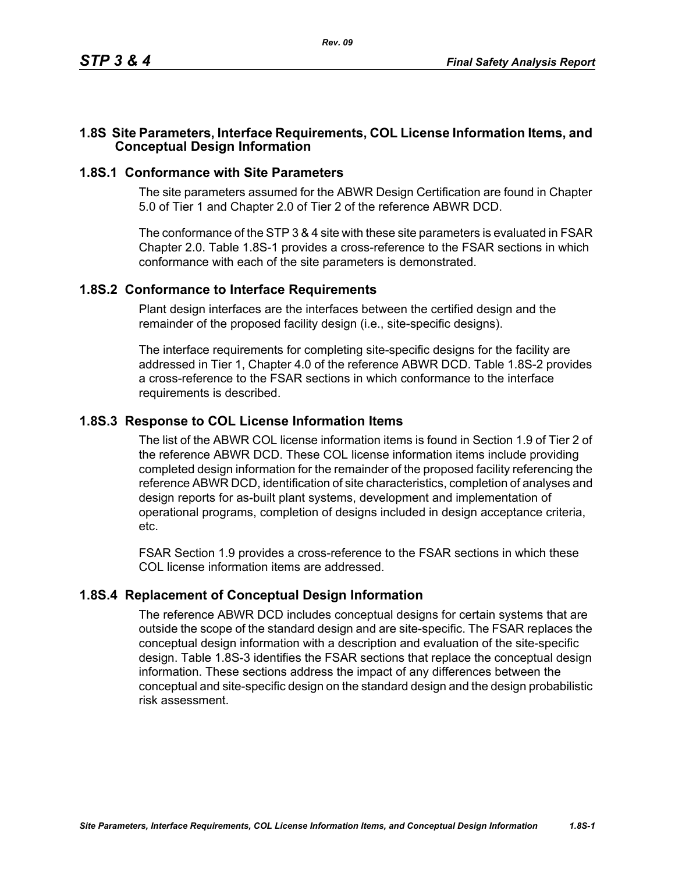#### **1.8S Site Parameters, Interface Requirements, COL License Information Items, and Conceptual Design Information**

#### **1.8S.1 Conformance with Site Parameters**

The site parameters assumed for the ABWR Design Certification are found in Chapter 5.0 of Tier 1 and Chapter 2.0 of Tier 2 of the reference ABWR DCD.

The conformance of the STP 3 & 4 site with these site parameters is evaluated in FSAR Chapter 2.0. Table [1.8S-1](#page-1-0) provides a cross-reference to the FSAR sections in which conformance with each of the site parameters is demonstrated.

#### **1.8S.2 Conformance to Interface Requirements**

Plant design interfaces are the interfaces between the certified design and the remainder of the proposed facility design (i.e., site-specific designs).

The interface requirements for completing site-specific designs for the facility are addressed in Tier 1, Chapter 4.0 of the reference ABWR DCD. Table [1.8S-2](#page-2-0) provides a cross-reference to the FSAR sections in which conformance to the interface requirements is described.

## **1.8S.3 Response to COL License Information Items**

The list of the ABWR COL license information items is found in Section 1.9 of Tier 2 of the reference ABWR DCD. These COL license information items include providing completed design information for the remainder of the proposed facility referencing the reference ABWR DCD, identification of site characteristics, completion of analyses and design reports for as-built plant systems, development and implementation of operational programs, completion of designs included in design acceptance criteria, etc.

FSAR Section 1.9 provides a cross-reference to the FSAR sections in which these COL license information items are addressed.

## **1.8S.4 Replacement of Conceptual Design Information**

The reference ABWR DCD includes conceptual designs for certain systems that are outside the scope of the standard design and are site-specific. The FSAR replaces the conceptual design information with a description and evaluation of the site-specific design. Table [1.8S-3](#page-3-0) identifies the FSAR sections that replace the conceptual design information. These sections address the impact of any differences between the conceptual and site-specific design on the standard design and the design probabilistic risk assessment.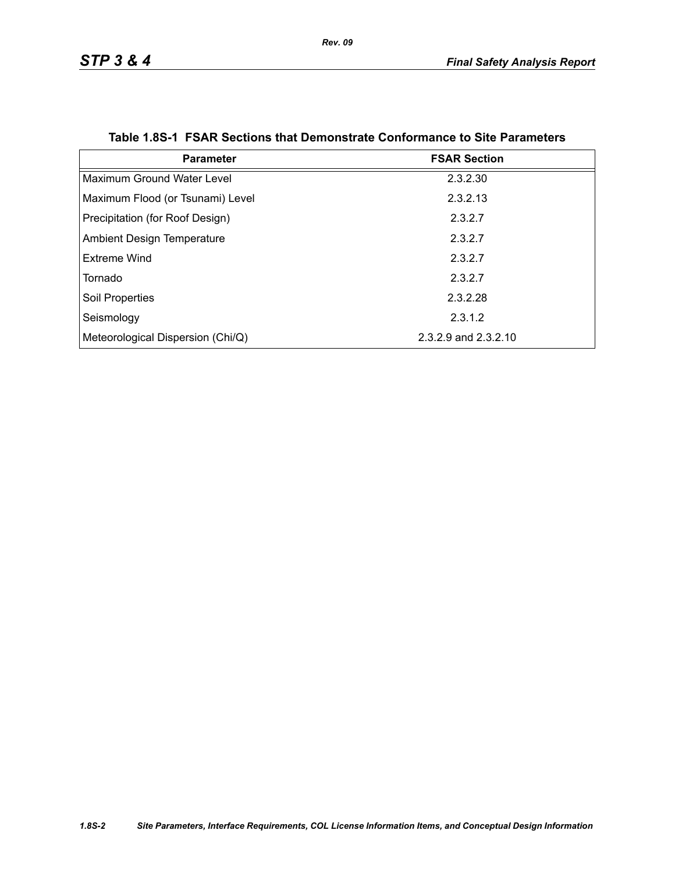<span id="page-1-0"></span>

| <b>Parameter</b>                  | <b>FSAR Section</b>  |
|-----------------------------------|----------------------|
| Maximum Ground Water Level        | 2.3.2.30             |
| Maximum Flood (or Tsunami) Level  | 2.3.2.13             |
| Precipitation (for Roof Design)   | 2.3.2.7              |
| <b>Ambient Design Temperature</b> | 2.3.2.7              |
| Extreme Wind                      | 2.3.2.7              |
| Tornado                           | 2.3.2.7              |
| Soil Properties                   | 2.3.2.28             |
| Seismology                        | 2.3.1.2              |
| Meteorological Dispersion (Chi/Q) | 2.3.2.9 and 2.3.2.10 |

|  |  | Table 1.8S-1 FSAR Sections that Demonstrate Conformance to Site Parameters |  |  |
|--|--|----------------------------------------------------------------------------|--|--|
|--|--|----------------------------------------------------------------------------|--|--|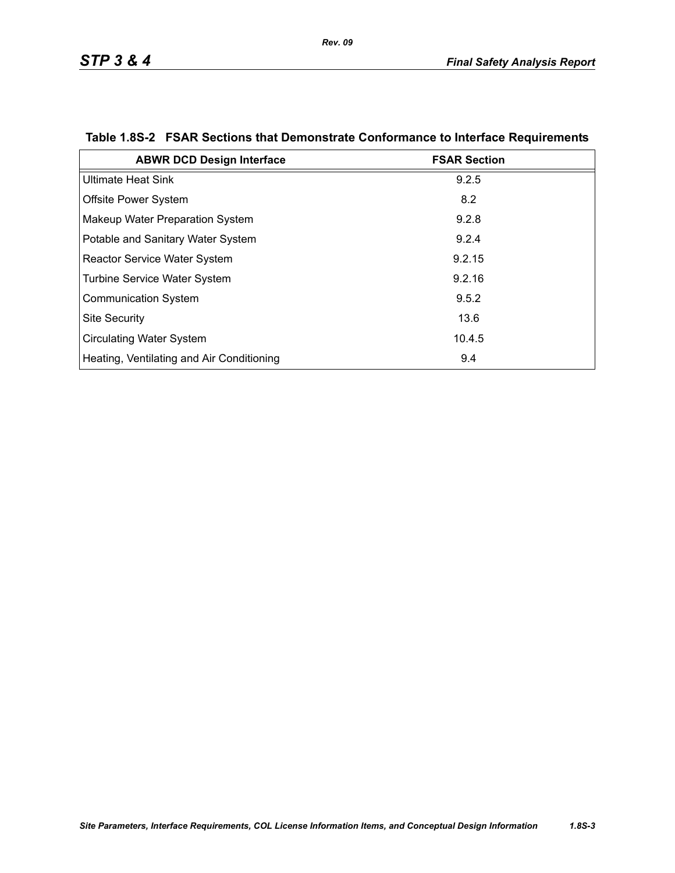| <b>ABWR DCD Design Interface</b>          | <b>FSAR Section</b> |
|-------------------------------------------|---------------------|
| <b>Ultimate Heat Sink</b>                 | 9.2.5               |
| <b>Offsite Power System</b>               | 8.2                 |
| Makeup Water Preparation System           | 9.2.8               |
| Potable and Sanitary Water System         | 9.2.4               |
| <b>Reactor Service Water System</b>       | 9.2.15              |
| <b>Turbine Service Water System</b>       | 9.2.16              |
| <b>Communication System</b>               | 9.5.2               |
| <b>Site Security</b>                      | 13.6                |
| <b>Circulating Water System</b>           | 10.4.5              |
| Heating, Ventilating and Air Conditioning | 9.4                 |

# <span id="page-2-0"></span>**Table 1.8S-2 FSAR Sections that Demonstrate Conformance to Interface Requirements**